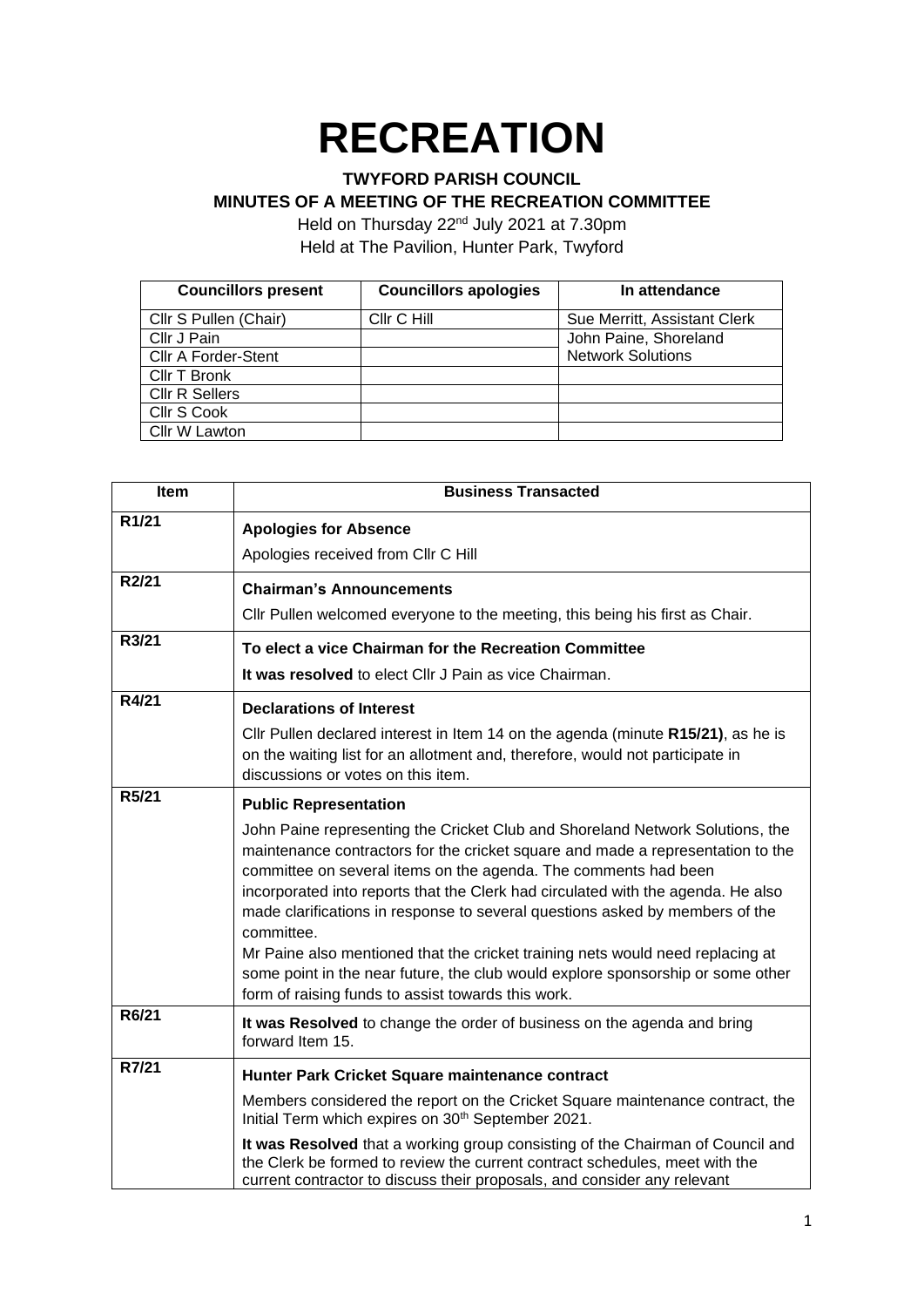## **RECREATION**

## **TWYFORD PARISH COUNCIL**

## **MINUTES OF A MEETING OF THE RECREATION COMMITTEE**

Held on Thursday 22<sup>nd</sup> July 2021 at 7.30pm Held at The Pavilion, Hunter Park, Twyford

| <b>Councillors present</b> | <b>Councillors apologies</b> | In attendance                |
|----------------------------|------------------------------|------------------------------|
| Cllr S Pullen (Chair)      | Cllr C Hill                  | Sue Merritt, Assistant Clerk |
| Cllr J Pain                |                              | John Paine, Shoreland        |
| <b>CIIr A Forder-Stent</b> |                              | <b>Network Solutions</b>     |
| Cllr T Bronk               |                              |                              |
| <b>CIIr R Sellers</b>      |                              |                              |
| Cllr S Cook                |                              |                              |
| Cllr W Lawton              |                              |                              |

| <b>Item</b>        | <b>Business Transacted</b>                                                                                                                                                                                                                                                                                                                                                                                            |
|--------------------|-----------------------------------------------------------------------------------------------------------------------------------------------------------------------------------------------------------------------------------------------------------------------------------------------------------------------------------------------------------------------------------------------------------------------|
| R <sub>1</sub> /21 | <b>Apologies for Absence</b>                                                                                                                                                                                                                                                                                                                                                                                          |
|                    | Apologies received from Cllr C Hill                                                                                                                                                                                                                                                                                                                                                                                   |
| R2/21              | <b>Chairman's Announcements</b>                                                                                                                                                                                                                                                                                                                                                                                       |
|                    | Cllr Pullen welcomed everyone to the meeting, this being his first as Chair.                                                                                                                                                                                                                                                                                                                                          |
| R3/21              | To elect a vice Chairman for the Recreation Committee                                                                                                                                                                                                                                                                                                                                                                 |
|                    | It was resolved to elect Cllr J Pain as vice Chairman.                                                                                                                                                                                                                                                                                                                                                                |
| R4/21              | <b>Declarations of Interest</b>                                                                                                                                                                                                                                                                                                                                                                                       |
|                    | Cllr Pullen declared interest in Item 14 on the agenda (minute R15/21), as he is<br>on the waiting list for an allotment and, therefore, would not participate in<br>discussions or votes on this item.                                                                                                                                                                                                               |
| R5/21              | <b>Public Representation</b>                                                                                                                                                                                                                                                                                                                                                                                          |
|                    | John Paine representing the Cricket Club and Shoreland Network Solutions, the<br>maintenance contractors for the cricket square and made a representation to the<br>committee on several items on the agenda. The comments had been<br>incorporated into reports that the Clerk had circulated with the agenda. He also<br>made clarifications in response to several questions asked by members of the<br>committee. |
|                    | Mr Paine also mentioned that the cricket training nets would need replacing at<br>some point in the near future, the club would explore sponsorship or some other<br>form of raising funds to assist towards this work.                                                                                                                                                                                               |
| R6/21              | It was Resolved to change the order of business on the agenda and bring<br>forward Item 15.                                                                                                                                                                                                                                                                                                                           |
| R7/21              | Hunter Park Cricket Square maintenance contract                                                                                                                                                                                                                                                                                                                                                                       |
|                    | Members considered the report on the Cricket Square maintenance contract, the<br>Initial Term which expires on 30 <sup>th</sup> September 2021.                                                                                                                                                                                                                                                                       |
|                    | It was Resolved that a working group consisting of the Chairman of Council and<br>the Clerk be formed to review the current contract schedules, meet with the<br>current contractor to discuss their proposals, and consider any relevant                                                                                                                                                                             |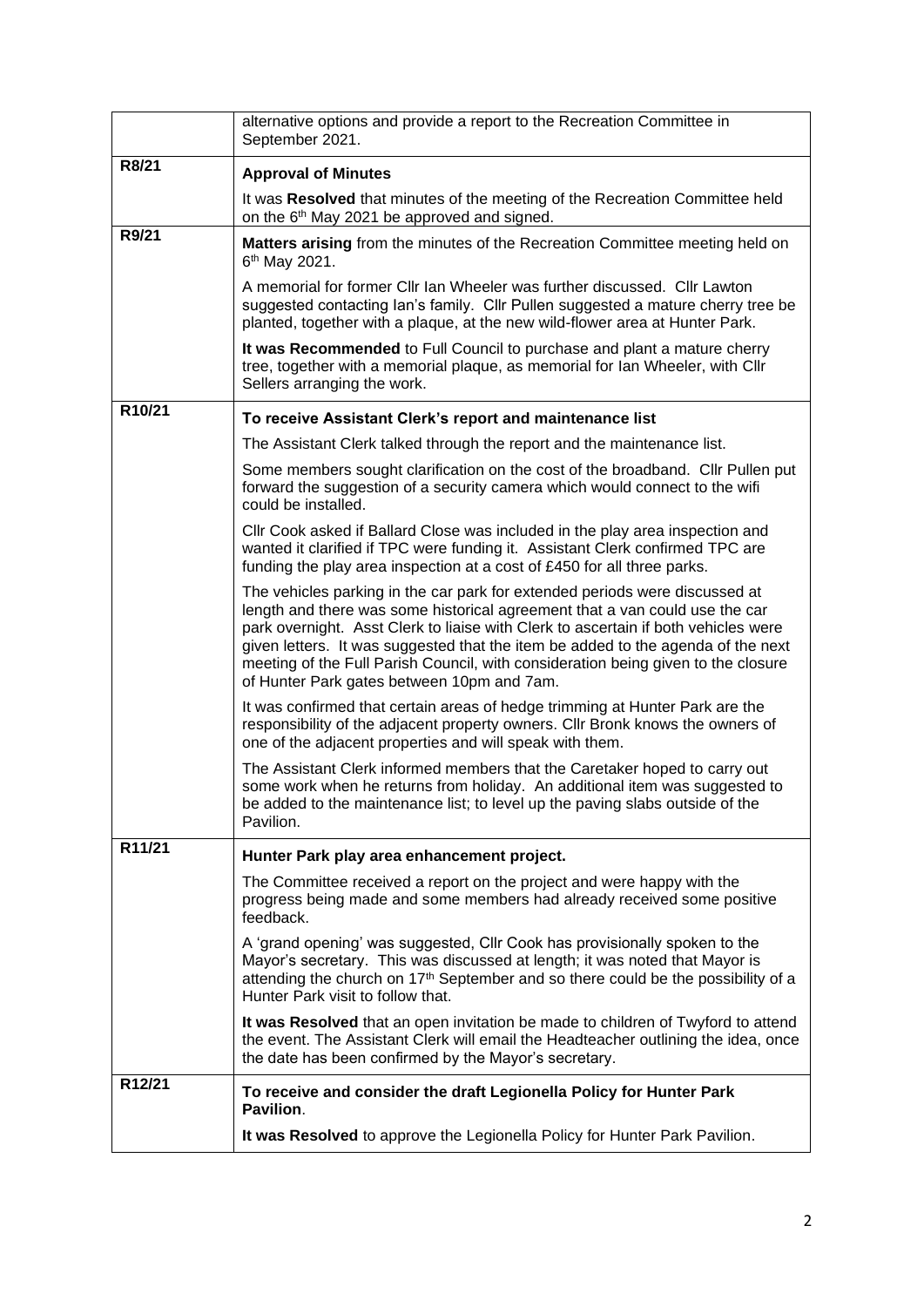|        | alternative options and provide a report to the Recreation Committee in<br>September 2021.                                                                                                                                                                                                                                                                                                                                                                              |
|--------|-------------------------------------------------------------------------------------------------------------------------------------------------------------------------------------------------------------------------------------------------------------------------------------------------------------------------------------------------------------------------------------------------------------------------------------------------------------------------|
| R8/21  | <b>Approval of Minutes</b>                                                                                                                                                                                                                                                                                                                                                                                                                                              |
|        | It was Resolved that minutes of the meeting of the Recreation Committee held<br>on the 6 <sup>th</sup> May 2021 be approved and signed.                                                                                                                                                                                                                                                                                                                                 |
| R9/21  | Matters arising from the minutes of the Recreation Committee meeting held on<br>6 <sup>th</sup> May 2021.                                                                                                                                                                                                                                                                                                                                                               |
|        | A memorial for former Cllr Ian Wheeler was further discussed. Cllr Lawton<br>suggested contacting Ian's family. Cllr Pullen suggested a mature cherry tree be<br>planted, together with a plaque, at the new wild-flower area at Hunter Park.                                                                                                                                                                                                                           |
|        | It was Recommended to Full Council to purchase and plant a mature cherry<br>tree, together with a memorial plaque, as memorial for Ian Wheeler, with Cllr<br>Sellers arranging the work.                                                                                                                                                                                                                                                                                |
| R10/21 | To receive Assistant Clerk's report and maintenance list                                                                                                                                                                                                                                                                                                                                                                                                                |
|        | The Assistant Clerk talked through the report and the maintenance list.                                                                                                                                                                                                                                                                                                                                                                                                 |
|        | Some members sought clarification on the cost of the broadband. Cllr Pullen put<br>forward the suggestion of a security camera which would connect to the wifi<br>could be installed.                                                                                                                                                                                                                                                                                   |
|        | Cllr Cook asked if Ballard Close was included in the play area inspection and<br>wanted it clarified if TPC were funding it. Assistant Clerk confirmed TPC are<br>funding the play area inspection at a cost of £450 for all three parks.                                                                                                                                                                                                                               |
|        | The vehicles parking in the car park for extended periods were discussed at<br>length and there was some historical agreement that a van could use the car<br>park overnight. Asst Clerk to liaise with Clerk to ascertain if both vehicles were<br>given letters. It was suggested that the item be added to the agenda of the next<br>meeting of the Full Parish Council, with consideration being given to the closure<br>of Hunter Park gates between 10pm and 7am. |
|        | It was confirmed that certain areas of hedge trimming at Hunter Park are the<br>responsibility of the adjacent property owners. Cllr Bronk knows the owners of<br>one of the adjacent properties and will speak with them.                                                                                                                                                                                                                                              |
|        | The Assistant Clerk informed members that the Caretaker hoped to carry out<br>some work when he returns from holiday. An additional item was suggested to<br>be added to the maintenance list; to level up the paving slabs outside of the<br>Pavilion.                                                                                                                                                                                                                 |
| R11/21 | Hunter Park play area enhancement project.                                                                                                                                                                                                                                                                                                                                                                                                                              |
|        | The Committee received a report on the project and were happy with the<br>progress being made and some members had already received some positive<br>feedback.                                                                                                                                                                                                                                                                                                          |
|        | A 'grand opening' was suggested, Cllr Cook has provisionally spoken to the<br>Mayor's secretary. This was discussed at length; it was noted that Mayor is<br>attending the church on 17 <sup>th</sup> September and so there could be the possibility of a<br>Hunter Park visit to follow that.                                                                                                                                                                         |
|        | It was Resolved that an open invitation be made to children of Twyford to attend<br>the event. The Assistant Clerk will email the Headteacher outlining the idea, once<br>the date has been confirmed by the Mayor's secretary.                                                                                                                                                                                                                                         |
| R12/21 | To receive and consider the draft Legionella Policy for Hunter Park<br>Pavilion.                                                                                                                                                                                                                                                                                                                                                                                        |
|        | It was Resolved to approve the Legionella Policy for Hunter Park Pavilion.                                                                                                                                                                                                                                                                                                                                                                                              |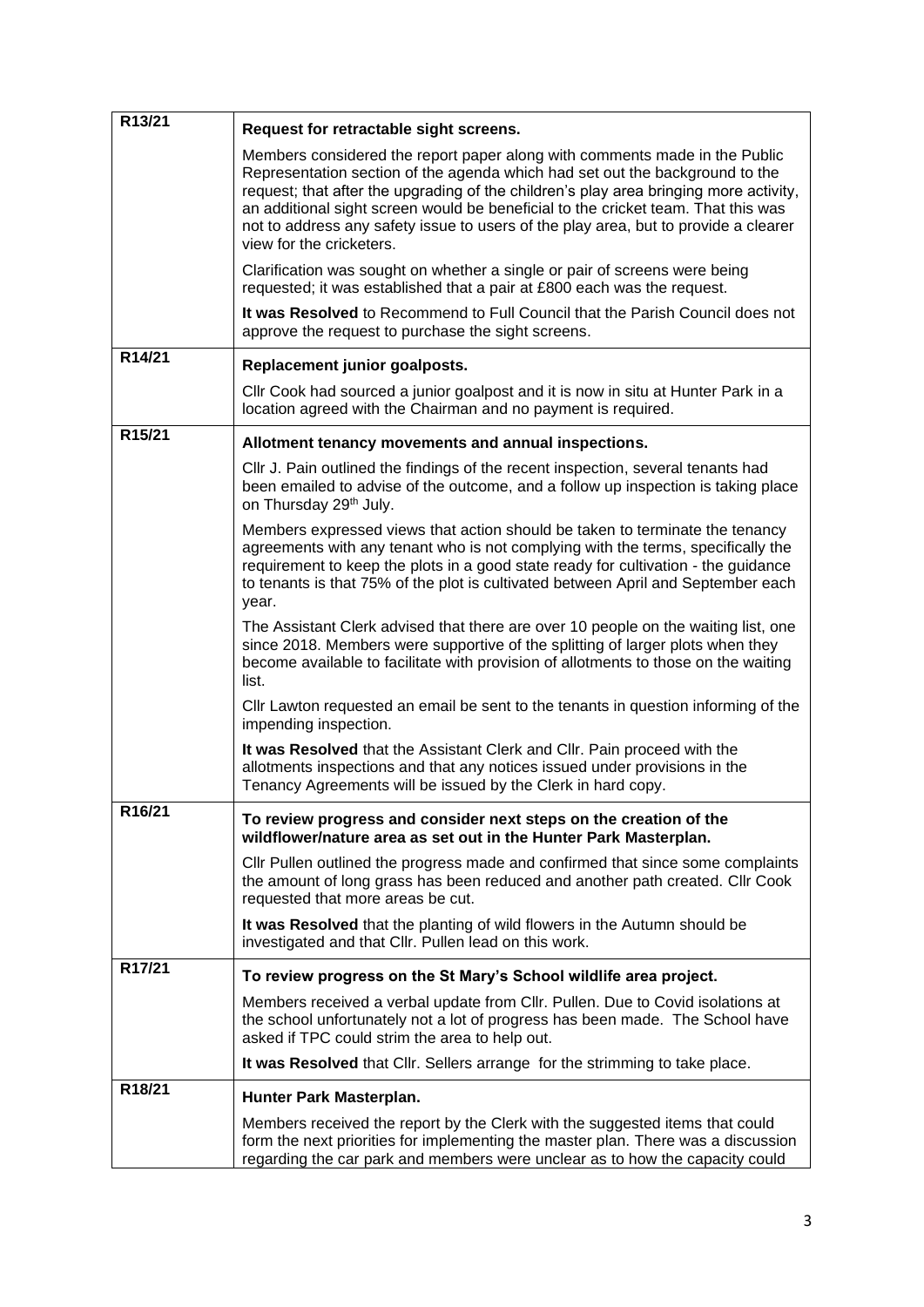| R13/21 | Request for retractable sight screens.                                                                                                                                                                                                                                                                                                                                                                                                                      |
|--------|-------------------------------------------------------------------------------------------------------------------------------------------------------------------------------------------------------------------------------------------------------------------------------------------------------------------------------------------------------------------------------------------------------------------------------------------------------------|
|        | Members considered the report paper along with comments made in the Public<br>Representation section of the agenda which had set out the background to the<br>request; that after the upgrading of the children's play area bringing more activity,<br>an additional sight screen would be beneficial to the cricket team. That this was<br>not to address any safety issue to users of the play area, but to provide a clearer<br>view for the cricketers. |
|        | Clarification was sought on whether a single or pair of screens were being<br>requested; it was established that a pair at £800 each was the request.                                                                                                                                                                                                                                                                                                       |
|        | It was Resolved to Recommend to Full Council that the Parish Council does not<br>approve the request to purchase the sight screens.                                                                                                                                                                                                                                                                                                                         |
| R14/21 | Replacement junior goalposts.                                                                                                                                                                                                                                                                                                                                                                                                                               |
|        | CIIr Cook had sourced a junior goalpost and it is now in situ at Hunter Park in a<br>location agreed with the Chairman and no payment is required.                                                                                                                                                                                                                                                                                                          |
| R15/21 | Allotment tenancy movements and annual inspections.                                                                                                                                                                                                                                                                                                                                                                                                         |
|        | CIIr J. Pain outlined the findings of the recent inspection, several tenants had<br>been emailed to advise of the outcome, and a follow up inspection is taking place<br>on Thursday 29 <sup>th</sup> July.                                                                                                                                                                                                                                                 |
|        | Members expressed views that action should be taken to terminate the tenancy<br>agreements with any tenant who is not complying with the terms, specifically the<br>requirement to keep the plots in a good state ready for cultivation - the guidance<br>to tenants is that 75% of the plot is cultivated between April and September each<br>year.                                                                                                        |
|        | The Assistant Clerk advised that there are over 10 people on the waiting list, one<br>since 2018. Members were supportive of the splitting of larger plots when they<br>become available to facilitate with provision of allotments to those on the waiting<br>list.                                                                                                                                                                                        |
|        | CIIr Lawton requested an email be sent to the tenants in question informing of the<br>impending inspection.                                                                                                                                                                                                                                                                                                                                                 |
|        | It was Resolved that the Assistant Clerk and Cllr. Pain proceed with the<br>allotments inspections and that any notices issued under provisions in the<br>Tenancy Agreements will be issued by the Clerk in hard copy.                                                                                                                                                                                                                                      |
| R16/21 | To review progress and consider next steps on the creation of the<br>wildflower/nature area as set out in the Hunter Park Masterplan.                                                                                                                                                                                                                                                                                                                       |
|        | Cllr Pullen outlined the progress made and confirmed that since some complaints<br>the amount of long grass has been reduced and another path created. Cllr Cook<br>requested that more areas be cut.                                                                                                                                                                                                                                                       |
|        | It was Resolved that the planting of wild flowers in the Autumn should be<br>investigated and that Cllr. Pullen lead on this work.                                                                                                                                                                                                                                                                                                                          |
| R17/21 | To review progress on the St Mary's School wildlife area project.                                                                                                                                                                                                                                                                                                                                                                                           |
|        | Members received a verbal update from Cllr. Pullen. Due to Covid isolations at<br>the school unfortunately not a lot of progress has been made. The School have<br>asked if TPC could strim the area to help out.                                                                                                                                                                                                                                           |
|        | It was Resolved that Cllr. Sellers arrange for the strimming to take place.                                                                                                                                                                                                                                                                                                                                                                                 |
| R18/21 | Hunter Park Masterplan.                                                                                                                                                                                                                                                                                                                                                                                                                                     |
|        | Members received the report by the Clerk with the suggested items that could<br>form the next priorities for implementing the master plan. There was a discussion<br>regarding the car park and members were unclear as to how the capacity could                                                                                                                                                                                                           |